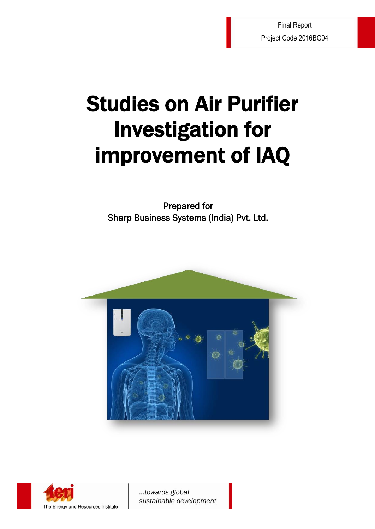Final Report Project Code 2016BG04

# Studies on Air Purifier Investigation for improvement of IAQ

Prepared for Sharp Business Systems (India) Pvt. Ltd.





...towards global sustainable development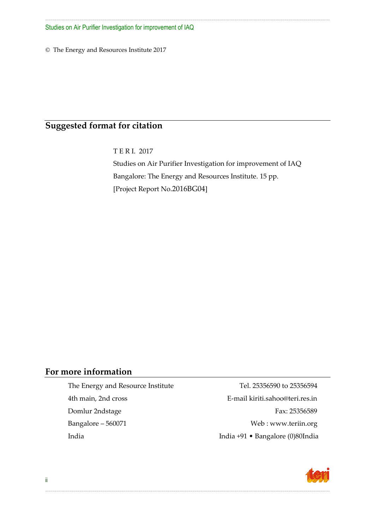Studies on Air Purifier Investigation for improvement of IAQ

© The Energy and Resources Institute 2017

## **Suggested format for citation**

T E R I. 2017

Studies on Air Purifier Investigation for improvement of IAQ Bangalore: The Energy and Resources Institute. 15 pp. [Project Report No.2016BG04]

## **For more information**

The Energy and Resource Institute Tel. 25356590 to 25356594 4th main, 2nd cross E-mail kiriti.sahoo@teri.res.in Domlur 2ndstage Fax: 25356589 Bangalore – 560071 Web : [www.teriin.org](http://www.teriin.org/) India  $\qquad \qquad$  India +91 • Bangalore (0)80India



ii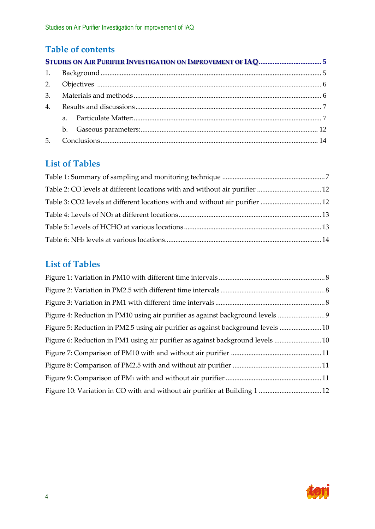# **Table of contents**

# **List of Tables**

| Table 3: CO2 levels at different locations with and without air purifier  12 |  |
|------------------------------------------------------------------------------|--|
|                                                                              |  |
|                                                                              |  |
|                                                                              |  |

## **List of Tables**

| Figure 4: Reduction in PM10 using air purifier as against background levels      |  |
|----------------------------------------------------------------------------------|--|
| Figure 5: Reduction in PM2.5 using air purifier as against background levels  10 |  |
| Figure 6: Reduction in PM1 using air purifier as against background levels  10   |  |
|                                                                                  |  |
|                                                                                  |  |
|                                                                                  |  |
| Figure 10: Variation in CO with and without air purifier at Building 1  12       |  |

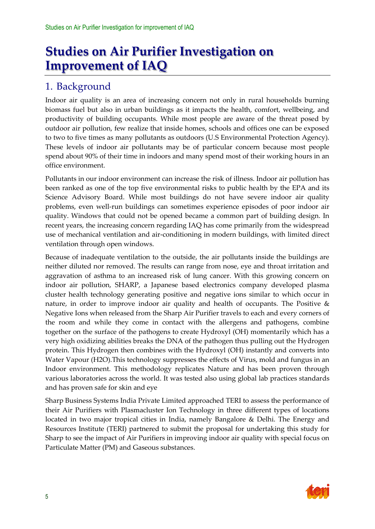# <span id="page-4-0"></span>**Studies on Air Purifier Investigation on Improvement of IAQ**

# <span id="page-4-1"></span>1. Background

Indoor air quality is an area of increasing concern not only in rural households burning biomass fuel but also in urban buildings as it impacts the health, comfort, wellbeing, and productivity of building occupants. While most people are aware of the threat posed by outdoor air pollution, few realize that inside homes, schools and offices one can be exposed to two to five times as many pollutants as outdoors (U.S Environmental Protection Agency). These levels of indoor air pollutants may be of particular concern because most people spend about 90% of their time in indoors and many spend most of their working hours in an office environment.

Pollutants in our indoor environment can increase the risk of illness. Indoor air pollution has been ranked as one of the top five environmental risks to public health by the EPA and its Science Advisory Board. While most buildings do not have severe indoor air quality problems, even well-run buildings can sometimes experience episodes of poor indoor air quality. Windows that could not be opened became a common part of building design. In recent years, the increasing concern regarding IAQ has come primarily from the widespread use of mechanical ventilation and air-conditioning in modern buildings, with limited direct ventilation through open windows.

Because of inadequate ventilation to the outside, the air pollutants inside the buildings are neither diluted nor removed. The results can range from nose, eye and throat irritation and aggravation of asthma to an increased risk of lung cancer. With this growing concern on indoor air pollution, SHARP, a Japanese based electronics company developed plasma cluster health technology generating positive and negative ions similar to which occur in nature, in order to improve indoor air quality and health of occupants. The Positive  $\&$ Negative Ions when released from the Sharp Air Purifier travels to each and every corners of the room and while they come in contact with the allergens and pathogens, combine together on the surface of the pathogens to create Hydroxyl (OH) momentarily which has a very high oxidizing abilities breaks the DNA of the pathogen thus pulling out the Hydrogen protein. This Hydrogen then combines with the Hydroxyl (OH) instantly and converts into Water Vapour (H2O).This technology suppresses the effects of Virus, mold and fungus in an Indoor environment. This methodology replicates Nature and has been proven through various laboratories across the world. It was tested also using global lab practices standards and has proven safe for skin and eye

Sharp Business Systems India Private Limited approached TERI to assess the performance of their Air Purifiers with Plasmacluster Ion Technology in three different types of locations located in two major tropical cities in India, namely Bangalore & Delhi. The Energy and Resources Institute (TERI) partnered to submit the proposal for undertaking this study for Sharp to see the impact of Air Purifiers in improving indoor air quality with special focus on Particulate Matter (PM) and Gaseous substances.

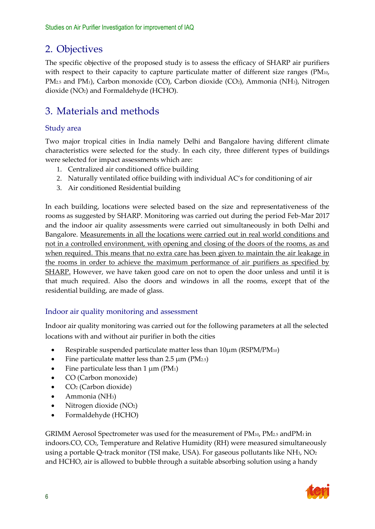# <span id="page-5-0"></span>2. Objectives

The specific objective of the proposed study is to assess the efficacy of SHARP air purifiers with respect to their capacity to capture particulate matter of different size ranges (PM10, PM<sub>2.5</sub> and PM<sub>1</sub>), Carbon monoxide (CO), Carbon dioxide (CO<sub>2</sub>), Ammonia (NH<sub>3</sub>), Nitrogen dioxide (NO2) and Formaldehyde (HCHO).

# <span id="page-5-1"></span>3. Materials and methods

## Study area

Two major tropical cities in India namely Delhi and Bangalore having different climate characteristics were selected for the study. In each city, three different types of buildings were selected for impact assessments which are:

- 1. Centralized air conditioned office building
- 2. Naturally ventilated office building with individual AC's for conditioning of air
- 3. Air conditioned Residential building

In each building, locations were selected based on the size and representativeness of the rooms as suggested by SHARP. Monitoring was carried out during the period Feb-Mar 2017 and the indoor air quality assessments were carried out simultaneously in both Delhi and Bangalore. Measurements in all the locations were carried out in real world conditions and not in a controlled environment, with opening and closing of the doors of the rooms, as and when required. This means that no extra care has been given to maintain the air leakage in the rooms in order to achieve the maximum performance of air purifiers as specified by SHARP. However, we have taken good care on not to open the door unless and until it is that much required. Also the doors and windows in all the rooms, except that of the residential building, are made of glass.

## Indoor air quality monitoring and assessment

Indoor air quality monitoring was carried out for the following parameters at all the selected locations with and without air purifier in both the cities

- Respirable suspended particulate matter less than  $10\mu$ m (RSPM/PM<sub>10</sub>)
- Fine particulate matter less than  $2.5 \mu m$  (PM<sub>2.5</sub>)
- Fine particulate less than  $1 \mu m$  (PM<sub>1</sub>)
- CO (Carbon monoxide)
- CO<sup>2</sup> (Carbon dioxide)
- Ammonia (NH3)
- Nitrogen dioxide (NO2)
- Formaldehyde (HCHO)

GRIMM Aerosol Spectrometer was used for the measurement of PM10, PM2.5 andPM1 in indoors.CO, CO2, Temperature and Relative Humidity (RH) were measured simultaneously using a portable Q-track monitor (TSI make, USA). For gaseous pollutants like NH<sub>3</sub>, NO<sub>2</sub> and HCHO, air is allowed to bubble through a suitable absorbing solution using a handy

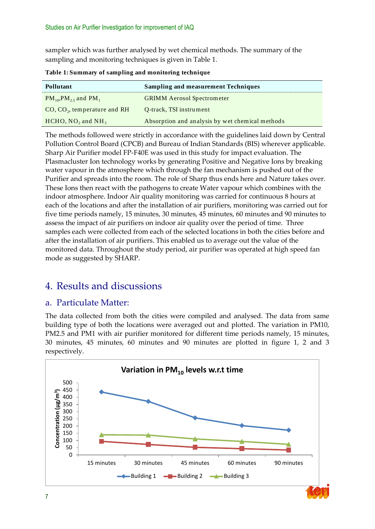sampler which was further analysed by wet chemical methods. The summary of the sampling and monitoring techniques is given in Table 1.

| <b>Pollutant</b>                                 | <b>Sampling and measurement Techniques</b>      |
|--------------------------------------------------|-------------------------------------------------|
| $PM_{10}$ , PM <sub>25</sub> and PM <sub>1</sub> | <b>GRIMM Aerosol Spectrometer</b>               |
| $CO, CO2$ , temperature and RH                   | O-track, TSI instrument                         |
| HCHO, NO, and NH <sub>3</sub>                    | Absorption and analysis by wet chemical methods |

<span id="page-6-2"></span>**Table 1: Summary of sampling and monitoring technique**

The methods followed were strictly in accordance with the guidelines laid down by Central Pollution Control Board (CPCB) and Bureau of Indian Standards (BIS) wherever applicable. Sharp Air Purifier model FP-F40E was used in this study for impact evaluation. The Plasmacluster Ion technology works by generating Positive and Negative Ions by breaking water vapour in the atmosphere which through the fan mechanism is pushed out of the Purifier and spreads into the room. The role of Sharp thus ends here and Nature takes over. These Ions then react with the pathogens to create Water vapour which combines with the indoor atmosphere. Indoor Air quality monitoring was carried for continuous 8 hours at each of the locations and after the installation of air purifiers, monitoring was carried out for five time periods namely, 15 minutes, 30 minutes, 45 minutes, 60 minutes and 90 minutes to assess the impact of air purifiers on indoor air quality over the period of time. Three samples each were collected from each of the selected locations in both the cities before and after the installation of air purifiers. This enabled us to average out the value of the monitored data. Throughout the study period, air purifier was operated at high speed fan mode as suggested by SHARP.

## <span id="page-6-0"></span>4. Results and discussions

## <span id="page-6-1"></span>a. Particulate Matter:

The data collected from both the cities were compiled and analysed. The data from same building type of both the locations were averaged out and plotted. The variation in PM10, PM2.5 and PM1 with air purifier monitored for different time periods namely, 15 minutes, 30 minutes, 45 minutes, 60 minutes and 90 minutes are plotted in figure 1, 2 and 3 respectively.

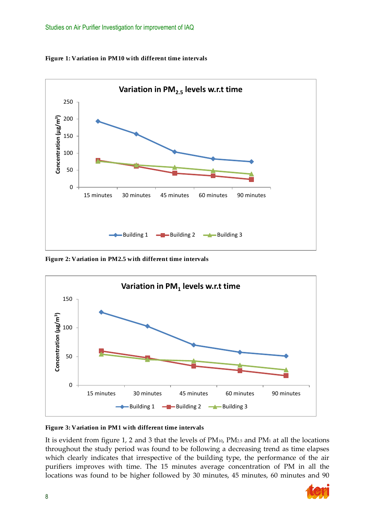

<span id="page-7-0"></span>**Figure 1: Variation in PM10 with different time intervals**

<span id="page-7-1"></span>**Figure 2: Variation in PM2.5 with different time intervals**



#### <span id="page-7-2"></span>**Figure 3: Variation in PM1 with different time intervals**

It is evident from figure 1, 2 and 3 that the levels of PM10, PM2.5 and PM1 at all the locations throughout the study period was found to be following a decreasing trend as time elapses which clearly indicates that irrespective of the building type, the performance of the air purifiers improves with time. The 15 minutes average concentration of PM in all the locations was found to be higher followed by 30 minutes, 45 minutes, 60 minutes and 90

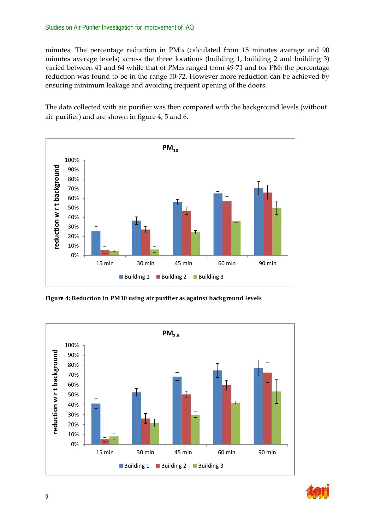minutes. The percentage reduction in PM<sup>10</sup> (calculated from 15 minutes average and 90 minutes average levels) across the three locations (building 1, building 2 and building 3) varied between 41 and 64 while that of PM<sub>2.5</sub> ranged from 49-71 and for PM<sub>1</sub> the percentage reduction was found to be in the range 50-72. However more reduction can be achieved by ensuring minimum leakage and avoiding frequent opening of the doors.

The data collected with air purifier was then compared with the background levels (without air purifier) and are shown in figure 4, 5 and 6.



<span id="page-8-0"></span>**Figure 4: Reduction in PM10 using air purifier as against background levels**



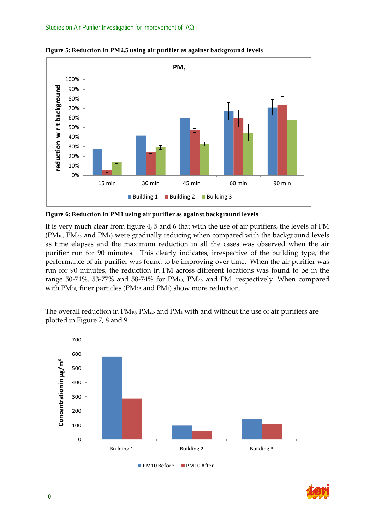

<span id="page-9-0"></span>**Figure 5: Reduction in PM2.5 using air purifier as against background levels**

<span id="page-9-1"></span>**Figure 6: Reduction in PM1 using air purifier as against background levels**

It is very much clear from figure 4, 5 and 6 that with the use of air purifiers, the levels of PM (PM10, PM2.5 and PM1) were gradually reducing when compared with the background levels as time elapses and the maximum reduction in all the cases was observed when the air purifier run for 90 minutes. This clearly indicates, irrespective of the building type, the performance of air purifier was found to be improving over time. When the air purifier was run for 90 minutes, the reduction in PM across different locations was found to be in the range 50-71%, 53-77% and 58-74% for PM10, PM2.5 and PM<sup>1</sup> respectively. When compared with PM<sub>10</sub>, finer particles (PM<sub>2.5</sub> and PM<sub>1</sub>) show more reduction.

The overall reduction in PM10, PM2.5 and PM<sup>1</sup> with and without the use of air purifiers are plotted in Figure 7, 8 and 9



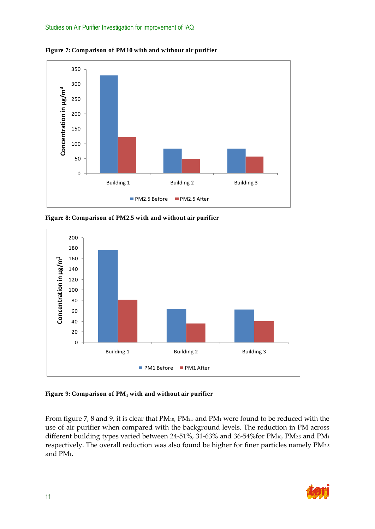

<span id="page-10-0"></span>**Figure 7: Comparison of PM10 with and without air purifier**

<span id="page-10-1"></span>**Figure 8: Comparison of PM2.5 with and without air purifier**



#### <span id="page-10-2"></span>**Figure 9: Comparison of PM<sup>1</sup> with and without air purifier**

From figure 7, 8 and 9, it is clear that PM10, PM2.5 and PM1 were found to be reduced with the use of air purifier when compared with the background levels. The reduction in PM across different building types varied between 24-51%, 31-63% and 36-54%for PM10, PM2.5 and PM1 respectively. The overall reduction was also found be higher for finer particles namely PM2.5 and PM1.

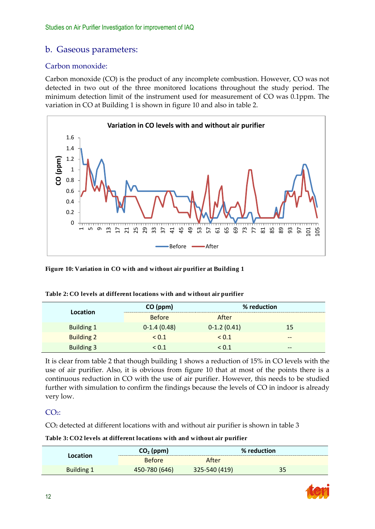## <span id="page-11-0"></span>b. Gaseous parameters:

#### Carbon monoxide:

Carbon monoxide (CO) is the product of any incomplete combustion. However, CO was not detected in two out of the three monitored locations throughout the study period. The minimum detection limit of the instrument used for measurement of CO was 0.1ppm. The variation in CO at Building 1 is shown in figure 10 and also in table 2.



<span id="page-11-3"></span><span id="page-11-1"></span>**Figure 10: Variation in CO with and without air purifier at Building 1**

|                   | CO (ppm)      | % reduction   |       |
|-------------------|---------------|---------------|-------|
| Location          | <b>Before</b> | After         |       |
| <b>Building 1</b> | $0-1.4(0.48)$ | $0-1.2(0.41)$ | 15    |
| <b>Building 2</b> | ${}_{0.1}$    | ${}_{0.1}$    | $- -$ |
| <b>Building 3</b> | ${}^{< 0.1}$  | $<$ $0.1\,$   | $- -$ |

| Table 2: CO levels at different locations with and without air purifier |  |
|-------------------------------------------------------------------------|--|
|-------------------------------------------------------------------------|--|

It is clear from table 2 that though building 1 shows a reduction of 15% in CO levels with the use of air purifier. Also, it is obvious from figure 10 that at most of the points there is a continuous reduction in CO with the use of air purifier. However, this needs to be studied further with simulation to confirm the findings because the levels of CO in indoor is already very low.

## $CO<sub>2</sub>$ :

CO<sup>2</sup> detected at different locations with and without air purifier is shown in table 3

#### <span id="page-11-2"></span>**Table 3: CO2 levels at different locations with and without air purifier**

|                   | $CO2$ (ppm)   | % reduction   |    |
|-------------------|---------------|---------------|----|
| Location          | <b>Before</b> | After         |    |
| <b>Building 1</b> | 450-780 (646) | 325-540 (419) | 35 |

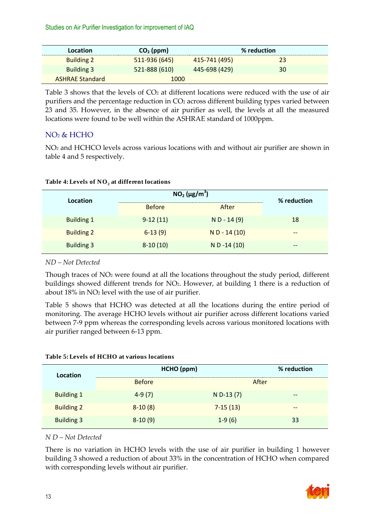Studies on Air Purifier Investigation for improvement of IAQ

| Location               | $CO2$ (ppm)   |               | % reduction |
|------------------------|---------------|---------------|-------------|
| <b>Building 2</b>      | 511-936 (645) | 415-741 (495) | 23          |
| <b>Building 3</b>      | 521-888 (610) | 445-698 (429) | 30          |
| <b>ASHRAE Standard</b> | 1000          |               |             |

Table 3 shows that the levels of  $CO<sub>2</sub>$  at different locations were reduced with the use of air purifiers and the percentage reduction in CO<sub>2</sub> across different building types varied between 23 and 35. However, in the absence of air purifier as well, the levels at all the measured locations were found to be well within the ASHRAE standard of 1000ppm.

## NO<sup>2</sup> & HCHO

NO<sup>2</sup> and HCHCO levels across various locations with and without air purifier are shown in table 4 and 5 respectively.

<span id="page-12-0"></span>

|  |  | Table 4: Levels of NO <sub>2</sub> at different locations |
|--|--|-----------------------------------------------------------|
|--|--|-----------------------------------------------------------|

| Location          | $NO2 (\mu g/m3)$ | % reduction    |       |
|-------------------|------------------|----------------|-------|
|                   | <b>Before</b>    | After          |       |
| <b>Building 1</b> | $9-12(11)$       | $N D - 14 (9)$ | 18    |
| <b>Building 2</b> | $6-13(9)$        | $N D - 14(10)$ | $- -$ |
| <b>Building 3</b> | $8-10(10)$       | $N D - 14(10)$ | $- -$ |

#### *ND – Not Detected*

Though traces of NO<sup>2</sup> were found at all the locations throughout the study period, different buildings showed different trends for NO2. However, at building 1 there is a reduction of about 18% in NO<sup>2</sup> level with the use of air purifier.

Table 5 shows that HCHO was detected at all the locations during the entire period of monitoring. The average HCHO levels without air purifier across different locations varied between 7-9 ppm whereas the corresponding levels across various monitored locations with air purifier ranged between 6-13 ppm.

#### <span id="page-12-1"></span>**Table 5: Levels of HCHO at various locations**

| Location          | HCHO (ppm)    |             | % reduction |
|-------------------|---------------|-------------|-------------|
|                   | <b>Before</b> |             | After       |
| <b>Building 1</b> | $4-9(7)$      | $N D-13(7)$ | --          |
| <b>Building 2</b> | $8-10(8)$     | $7-15(13)$  | $- -$       |
| <b>Building 3</b> | $8-10(9)$     | $1-9(6)$    | 33          |

#### *N D – Not Detected*

There is no variation in HCHO levels with the use of air purifier in building 1 however building 3 showed a reduction of about 33% in the concentration of HCHO when compared with corresponding levels without air purifier.

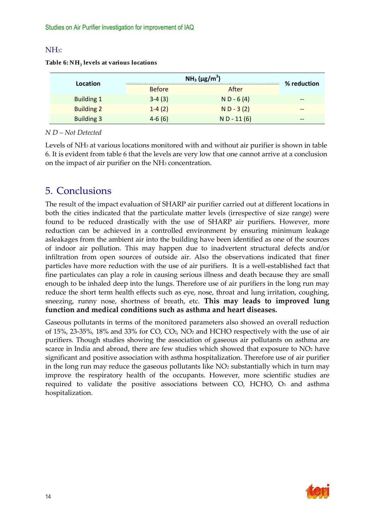#### NH<sub>3</sub>:

| Location          | $NH3 (\mu g/m3)$ | % reduction   |       |
|-------------------|------------------|---------------|-------|
|                   | <b>Before</b>    | After         |       |
| <b>Building 1</b> | $3-4(3)$         | $N D - 6(4)$  | $- -$ |
| <b>Building 2</b> | $1-4(2)$         | $ND - 3(2)$   | $- -$ |
| <b>Building 3</b> | $4-6(6)$         | $N D - 11(6)$ | $- -$ |

<span id="page-13-1"></span>**Table 6: NH<sup>3</sup> levels at various locations**

*N D – Not Detected*

Levels of NH<sup>3</sup> at various locations monitored with and without air purifier is shown in table 6. It is evident from table 6 that the levels are very low that one cannot arrive at a conclusion on the impact of air purifier on the NH<sup>3</sup> concentration.

## <span id="page-13-0"></span>5. Conclusions

The result of the impact evaluation of SHARP air purifier carried out at different locations in both the cities indicated that the particulate matter levels (irrespective of size range) were found to be reduced drastically with the use of SHARP air purifiers. However, more reduction can be achieved in a controlled environment by ensuring minimum leakage asleakages from the ambient air into the building have been identified as one of the sources of indoor air pollution. This may happen due to inadvertent structural defects and/or infiltration from open sources of outside air. Also the observations indicated that finer particles have more reduction with the use of air purifiers. It is a well-established fact that fine particulates can play a role in causing serious illness and death because they are small enough to be inhaled deep into the lungs. Therefore use of air purifiers in the long run may reduce the short term health effects such as eye, nose, throat and lung irritation, coughing, sneezing, runny nose, shortness of breath, etc. **This may leads to improved lung function and medical conditions such as asthma and heart diseases.** 

Gaseous pollutants in terms of the monitored parameters also showed an overall reduction of 15%, 23-35%, 18% and 33% for CO, CO2, NO<sup>2</sup> and HCHO respectively with the use of air purifiers. Though studies showing the association of gaseous air pollutants on asthma are scarce in India and abroad, there are few studies which showed that exposure to NO<sub>2</sub> have significant and positive association with asthma hospitalization. Therefore use of air purifier in the long run may reduce the gaseous pollutants like  $NO<sub>2</sub>$  substantially which in turn may improve the respiratory health of the occupants. However, more scientific studies are required to validate the positive associations between CO, HCHO, O<sup>3</sup> and asthma hospitalization.